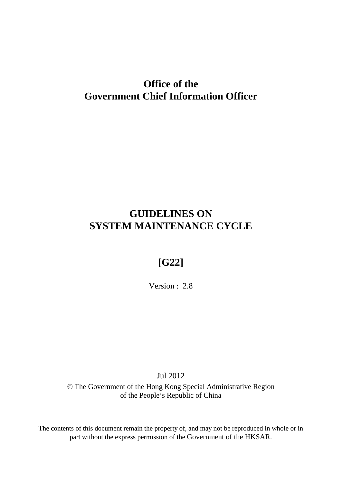# **Office of the Government Chief Information Officer**

# **GUIDELINES ON SYSTEM MAINTENANCE CYCLE**

# **[G22]**

Version : 2.8

Jul 2012

© The Government of the Hong Kong Special Administrative Region of the People's Republic of China

The contents of this document remain the property of, and may not be reproduced in whole or in part without the express permission of the Government of the HKSAR.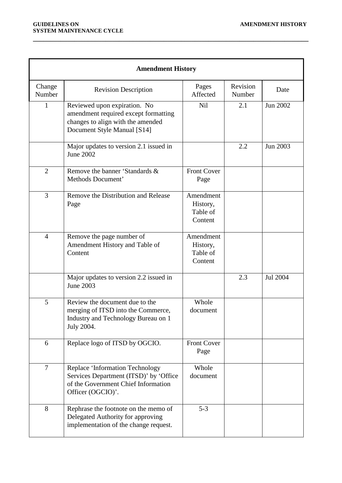| <b>Amendment History</b> |                                                                                                                                          |                                              |                    |          |  |  |
|--------------------------|------------------------------------------------------------------------------------------------------------------------------------------|----------------------------------------------|--------------------|----------|--|--|
| Change<br>Number         | <b>Revision Description</b>                                                                                                              | Pages<br>Affected                            | Revision<br>Number | Date     |  |  |
| $\mathbf{1}$             | Reviewed upon expiration. No<br>amendment required except formatting<br>changes to align with the amended<br>Document Style Manual [S14] | <b>Nil</b>                                   | 2.1                | Jun 2002 |  |  |
|                          | Major updates to version 2.1 issued in<br><b>June 2002</b>                                                                               |                                              | 2.2                | Jun 2003 |  |  |
| $\overline{2}$           | Remove the banner 'Standards &<br>Methods Document'                                                                                      | <b>Front Cover</b><br>Page                   |                    |          |  |  |
| $\overline{3}$           | Remove the Distribution and Release<br>Page                                                                                              | Amendment<br>History,<br>Table of<br>Content |                    |          |  |  |
| $\overline{4}$           | Remove the page number of<br>Amendment History and Table of<br>Content                                                                   | Amendment<br>History,<br>Table of<br>Content |                    |          |  |  |
|                          | Major updates to version 2.2 issued in<br>June 2003                                                                                      |                                              | 2.3                | Jul 2004 |  |  |
| 5                        | Review the document due to the<br>merging of ITSD into the Commerce,<br>Industry and Technology Bureau on 1<br>July 2004.                | Whole<br>document                            |                    |          |  |  |
| 6                        | Replace logo of ITSD by OGCIO.                                                                                                           | <b>Front Cover</b><br>Page                   |                    |          |  |  |
| $\overline{7}$           | Replace 'Information Technology<br>Services Department (ITSD)' by 'Office<br>of the Government Chief Information<br>Officer (OGCIO)'.    | Whole<br>document                            |                    |          |  |  |
| 8                        | Rephrase the footnote on the memo of<br>Delegated Authority for approving<br>implementation of the change request.                       | $5 - 3$                                      |                    |          |  |  |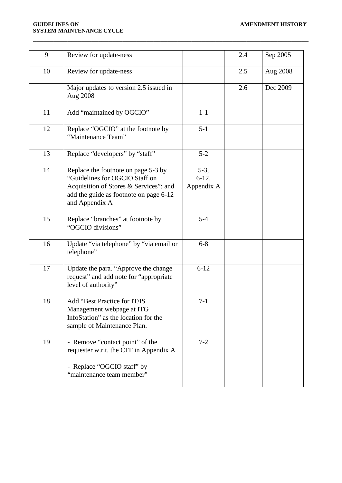#### **GUIDELINES ON AMENDMENT HISTORY SYSTEM MAINTENANCE CYCLE**

| 9  | Review for update-ness                                                                                                                                                      |                                 | 2.4 | Sep 2005 |
|----|-----------------------------------------------------------------------------------------------------------------------------------------------------------------------------|---------------------------------|-----|----------|
| 10 | Review for update-ness                                                                                                                                                      |                                 | 2.5 | Aug 2008 |
|    | Major updates to version 2.5 issued in<br>Aug 2008                                                                                                                          |                                 | 2.6 | Dec 2009 |
| 11 | Add "maintained by OGCIO"                                                                                                                                                   | $1-1$                           |     |          |
| 12 | Replace "OGCIO" at the footnote by<br>"Maintenance Team"                                                                                                                    | $5 - 1$                         |     |          |
| 13 | Replace "developers" by "staff"                                                                                                                                             | $5 - 2$                         |     |          |
| 14 | Replace the footnote on page 5-3 by<br>"Guidelines for OGCIO Staff on<br>Acquisition of Stores & Services"; and<br>add the guide as footnote on page 6-12<br>and Appendix A | $5-3,$<br>$6-12,$<br>Appendix A |     |          |
| 15 | Replace "branches" at footnote by<br>"OGCIO divisions"                                                                                                                      | $5 - 4$                         |     |          |
| 16 | Update "via telephone" by "via email or<br>telephone"                                                                                                                       | $6 - 8$                         |     |          |
| 17 | Update the para. "Approve the change<br>request" and add note for "appropriate"<br>level of authority"                                                                      | $6 - 12$                        |     |          |
| 18 | Add "Best Practice for IT/IS<br>Management webpage at ITG<br>InfoStation" as the location for the<br>sample of Maintenance Plan.                                            | $7-1$                           |     |          |
| 19 | - Remove "contact point" of the<br>requester w.r.t. the CFF in Appendix A<br>- Replace "OGCIO staff" by<br>"maintenance team member"                                        | $7 - 2$                         |     |          |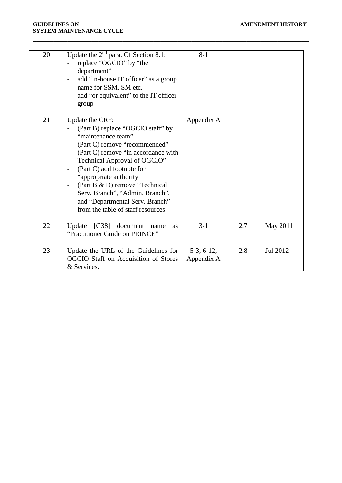#### **GUIDELINES ON AMENDMENT HISTORY SYSTEM MAINTENANCE CYCLE**

| 20 | Update the $2nd$ para. Of Section 8.1:<br>replace "OGCIO" by "the<br>department"<br>add "in-house IT officer" as a group<br>$\overline{\phantom{a}}$<br>name for SSM, SM etc.<br>add "or equivalent" to the IT officer<br>$\overline{\phantom{a}}$<br>group                                                                                                                                                                                                                | $8-1$                      |     |          |
|----|----------------------------------------------------------------------------------------------------------------------------------------------------------------------------------------------------------------------------------------------------------------------------------------------------------------------------------------------------------------------------------------------------------------------------------------------------------------------------|----------------------------|-----|----------|
| 21 | Update the CRF:<br>(Part B) replace "OGCIO staff" by<br>"maintenance team"<br>(Part C) remove "recommended"<br>$\overline{\phantom{a}}$<br>(Part C) remove "in accordance with<br>$\overline{\phantom{a}}$<br>Technical Approval of OGCIO"<br>(Part C) add footnote for<br>"appropriate authority<br>(Part B & D) remove "Technical<br>$\overline{\phantom{a}}$<br>Serv. Branch", "Admin. Branch",<br>and "Departmental Serv. Branch"<br>from the table of staff resources | Appendix A                 |     |          |
| 22 | Update [G38] document<br>name<br><b>as</b><br>"Practitioner Guide on PRINCE"                                                                                                                                                                                                                                                                                                                                                                                               | $3-1$                      | 2.7 | May 2011 |
| 23 | Update the URL of the Guidelines for<br>OGCIO Staff on Acquisition of Stores<br>& Services.                                                                                                                                                                                                                                                                                                                                                                                | $5-3, 6-12,$<br>Appendix A | 2.8 | Jul 2012 |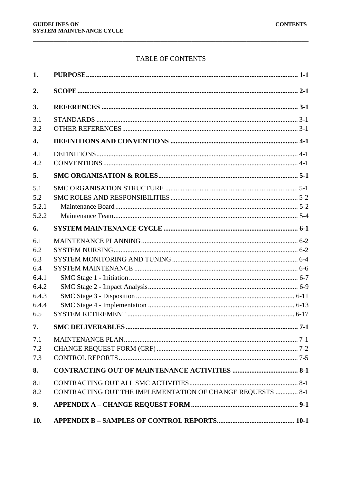## **TABLE OF CONTENTS**

| 1.                                         |                                                            |       |
|--------------------------------------------|------------------------------------------------------------|-------|
| 2.                                         |                                                            |       |
| 3.                                         |                                                            |       |
| 3.1<br>3.2                                 |                                                            |       |
| $\overline{4}$ .                           |                                                            |       |
| 4.1<br>4.2                                 |                                                            |       |
| 5.                                         |                                                            |       |
| 5.1<br>5.2<br>5.2.1<br>5.2.2               |                                                            |       |
| 6.                                         |                                                            |       |
| 6.1<br>6.2<br>6.3<br>6.4<br>6.4.1<br>6.4.2 |                                                            |       |
| 6.4.3<br>6.4.4                             |                                                            |       |
| 6.5                                        |                                                            |       |
| 7.                                         |                                                            | $7-1$ |
| 7.1<br>7.2<br>7.3                          |                                                            |       |
| 8.                                         |                                                            |       |
| 8.1<br>8.2                                 | CONTRACTING OUT THE IMPLEMENTATION OF CHANGE REQUESTS  8-1 |       |
| 9.                                         |                                                            |       |
| 10.                                        |                                                            |       |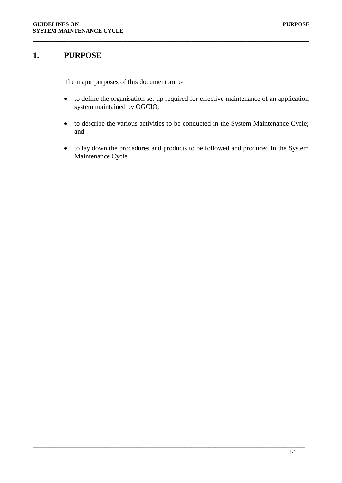## <span id="page-5-0"></span>**1. PURPOSE**

The major purposes of this document are :-

• to define the organisation set-up required for effective maintenance of an application system maintained by OGCIO;

**\_\_\_\_\_\_\_\_\_\_\_\_\_\_\_\_\_\_\_\_\_\_\_\_\_\_\_\_\_\_\_\_\_\_\_\_\_\_\_\_\_\_\_\_\_\_\_\_\_\_\_\_\_\_\_\_\_\_\_\_\_\_\_\_\_\_\_\_\_\_\_\_\_\_\_\_\_\_\_\_**

- to describe the various activities to be conducted in the System Maintenance Cycle; and
- to lay down the procedures and products to be followed and produced in the System Maintenance Cycle.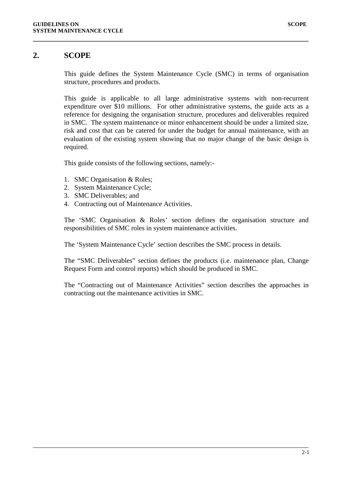## <span id="page-6-0"></span>**2. SCOPE**

This guide defines the System Maintenance Cycle (SMC) in terms of organisation structure, procedures and products.

**\_\_\_\_\_\_\_\_\_\_\_\_\_\_\_\_\_\_\_\_\_\_\_\_\_\_\_\_\_\_\_\_\_\_\_\_\_\_\_\_\_\_\_\_\_\_\_\_\_\_\_\_\_\_\_\_\_\_\_\_\_\_\_\_\_\_\_\_\_\_\_\_\_\_\_\_\_\_\_\_**

This guide is applicable to all large administrative systems with non-recurrent expenditure over \$10 millions. For other administrative systems, the guide acts as a reference for designing the organisation structure, procedures and deliverables required in SMC. The system maintenance or minor enhancement should be under a limited size, risk and cost that can be catered for under the budget for annual maintenance, with an evaluation of the existing system showing that no major change of the basic design is required.

This guide consists of the following sections, namely:-

- 1. SMC Organisation & Roles;
- 2. System Maintenance Cycle;
- 3. SMC Deliverables; and
- 4. Contracting out of Maintenance Activities.

The 'SMC Organisation & Roles' section defines the organisation structure and responsibilities of SMC roles in system maintenance activities.

The 'System Maintenance Cycle' section describes the SMC process in details.

\_\_\_\_\_\_\_\_\_\_\_\_\_\_\_\_\_\_\_\_\_\_\_\_\_\_\_\_\_\_\_\_\_\_\_\_\_\_\_\_\_\_\_\_\_\_\_\_\_\_\_\_\_\_\_\_\_\_\_\_\_\_\_\_\_\_\_\_\_\_\_\_\_\_\_\_\_\_\_\_

The "SMC Deliverables" section defines the products (i.e. maintenance plan, Change Request Form and control reports) which should be produced in SMC.

The "Contracting out of Maintenance Activities" section describes the approaches in contracting out the maintenance activities in SMC.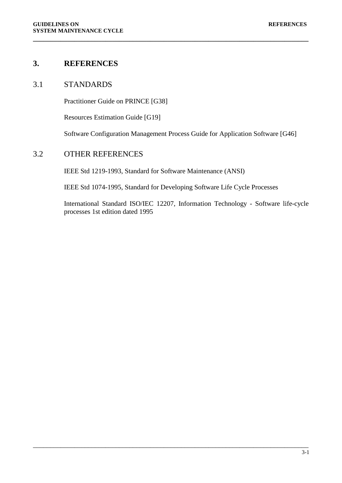## <span id="page-7-0"></span>**3. REFERENCES**

## <span id="page-7-1"></span>3.1 STANDARDS

Practitioner Guide on PRINCE [G38]

Resources Estimation Guide [G19]

Software Configuration Management Process Guide for Application Software [G46]

**\_\_\_\_\_\_\_\_\_\_\_\_\_\_\_\_\_\_\_\_\_\_\_\_\_\_\_\_\_\_\_\_\_\_\_\_\_\_\_\_\_\_\_\_\_\_\_\_\_\_\_\_\_\_\_\_\_\_\_\_\_\_\_\_\_\_\_\_\_\_\_\_\_\_\_\_\_\_\_\_**

### <span id="page-7-2"></span>3.2 OTHER REFERENCES

IEEE Std 1219-1993, Standard for Software Maintenance (ANSI)

IEEE Std 1074-1995, Standard for Developing Software Life Cycle Processes

\_\_\_\_\_\_\_\_\_\_\_\_\_\_\_\_\_\_\_\_\_\_\_\_\_\_\_\_\_\_\_\_\_\_\_\_\_\_\_\_\_\_\_\_\_\_\_\_\_\_\_\_\_\_\_\_\_\_\_\_\_\_\_\_\_\_\_\_\_\_\_\_\_\_\_\_\_\_\_\_

International Standard ISO/IEC 12207, Information Technology - Software life-cycle processes 1st edition dated 1995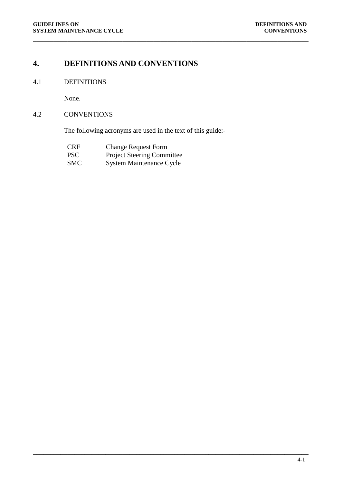## <span id="page-8-0"></span>**4. DEFINITIONS AND CONVENTIONS**

## <span id="page-8-1"></span>4.1 DEFINITIONS

None.

## <span id="page-8-2"></span>4.2 CONVENTIONS

The following acronyms are used in the text of this guide:-

**\_\_\_\_\_\_\_\_\_\_\_\_\_\_\_\_\_\_\_\_\_\_\_\_\_\_\_\_\_\_\_\_\_\_\_\_\_\_\_\_\_\_\_\_\_\_\_\_\_\_\_\_\_\_\_\_\_\_\_\_\_\_\_\_\_\_\_\_\_\_\_\_\_\_\_\_\_\_\_\_**

| <b>CRF</b> | <b>Change Request Form</b>        |
|------------|-----------------------------------|
| <b>PSC</b> | <b>Project Steering Committee</b> |
| <b>SMC</b> | <b>System Maintenance Cycle</b>   |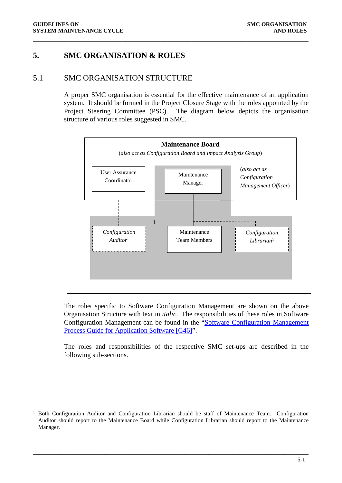## <span id="page-9-0"></span>**5. SMC ORGANISATION & ROLES**

## <span id="page-9-1"></span>5.1 SMC ORGANISATION STRUCTURE

A proper SMC organisation is essential for the effective maintenance of an application system. It should be formed in the Project Closure Stage with the roles appointed by the Project Steering Committee (PSC). The diagram below depicts the organisation structure of various roles suggested in SMC.

**\_\_\_\_\_\_\_\_\_\_\_\_\_\_\_\_\_\_\_\_\_\_\_\_\_\_\_\_\_\_\_\_\_\_\_\_\_\_\_\_\_\_\_\_\_\_\_\_\_\_\_\_\_\_\_\_\_\_\_\_\_\_\_\_\_\_\_\_\_\_\_\_\_\_\_\_\_\_\_\_**



The roles specific to Software Configuration Management are shown on the above Organisation Structure with text in *italic*. The responsibilities of these roles in Software Configuration Management can be found in the ["Software Configuration Management](http://itginfo.ccgo.hksarg/content/sm/docs/G46.doc)  [Process Guide for Application Software \[G46\]"](http://itginfo.ccgo.hksarg/content/sm/docs/G46.doc).

The roles and responsibilities of the respective SMC set-ups are described in the following sub-sections.

<sup>1</sup> Both Configuration Auditor and Configuration Librarian should be staff of Maintenance Team. Configuration Auditor should report to the Maintenance Board while Configuration Librarian should report to the Maintenance Manager.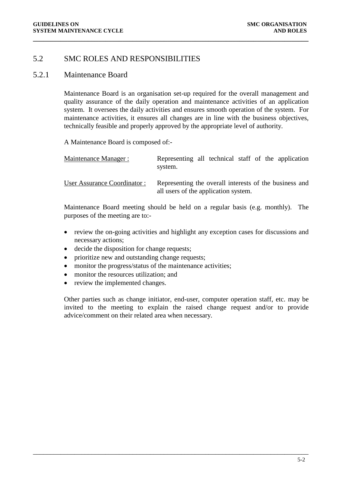## <span id="page-10-0"></span>5.2 SMC ROLES AND RESPONSIBILITIES

#### <span id="page-10-1"></span>5.2.1 Maintenance Board

Maintenance Board is an organisation set-up required for the overall management and quality assurance of the daily operation and maintenance activities of an application system. It oversees the daily activities and ensures smooth operation of the system. For maintenance activities, it ensures all changes are in line with the business objectives, technically feasible and properly approved by the appropriate level of authority.

**\_\_\_\_\_\_\_\_\_\_\_\_\_\_\_\_\_\_\_\_\_\_\_\_\_\_\_\_\_\_\_\_\_\_\_\_\_\_\_\_\_\_\_\_\_\_\_\_\_\_\_\_\_\_\_\_\_\_\_\_\_\_\_\_\_\_\_\_\_\_\_\_\_\_\_\_\_\_\_\_**

A Maintenance Board is composed of:-

| Maintenance Manager:        | Representing all technical staff of the application<br>system.                                 |  |  |  |
|-----------------------------|------------------------------------------------------------------------------------------------|--|--|--|
| User Assurance Coordinator: | Representing the overall interests of the business and<br>all users of the application system. |  |  |  |

Maintenance Board meeting should be held on a regular basis (e.g. monthly). The purposes of the meeting are to:-

- review the on-going activities and highlight any exception cases for discussions and necessary actions;
- decide the disposition for change requests;
- prioritize new and outstanding change requests;
- monitor the progress/status of the maintenance activities;
- monitor the resources utilization; and
- review the implemented changes.

Other parties such as change initiator, end-user, computer operation staff, etc. may be invited to the meeting to explain the raised change request and/or to provide advice/comment on their related area when necessary.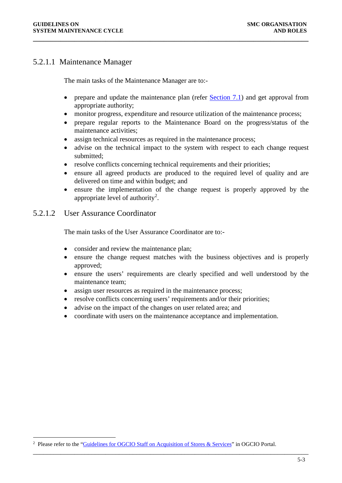## <span id="page-11-1"></span>5.2.1.1 Maintenance Manager

The main tasks of the Maintenance Manager are to:-

- prepare and update the maintenance plan (refer  $Section 7.1$ ) and get approval from appropriate authority;
- monitor progress, expenditure and resource utilization of the maintenance process;

**\_\_\_\_\_\_\_\_\_\_\_\_\_\_\_\_\_\_\_\_\_\_\_\_\_\_\_\_\_\_\_\_\_\_\_\_\_\_\_\_\_\_\_\_\_\_\_\_\_\_\_\_\_\_\_\_\_\_\_\_\_\_\_\_\_\_\_\_\_\_\_\_\_\_\_\_\_\_\_\_**

- prepare regular reports to the Maintenance Board on the progress/status of the maintenance activities;
- assign technical resources as required in the maintenance process;
- advise on the technical impact to the system with respect to each change request submitted;
- resolve conflicts concerning technical requirements and their priorities;
- ensure all agreed products are produced to the required level of quality and are delivered on time and within budget; and
- ensure the implementation of the change request is properly approved by the appropriate level of authority<sup>[2](#page-11-0)</sup>.

## 5.2.1.2 User Assurance Coordinator

The main tasks of the User Assurance Coordinator are to:-

- consider and review the maintenance plan;
- ensure the change request matches with the business objectives and is properly approved;
- ensure the users' requirements are clearly specified and well understood by the maintenance team;
- assign user resources as required in the maintenance process;
- resolve conflicts concerning users' requirements and/or their priorities;
- advise on the impact of the changes on user related area; and
- coordinate with users on the maintenance acceptance and implementation.

<span id="page-11-0"></span> $\frac{1}{2}$ <sup>2</sup> Please refer to the ["Guidelines for OGCIO Staff on Acquisition of Stores & Services"](https://dp.ogcio.ccgo.hksarg/prodwas/wps/myportal/InternalInfo?isViewRec=true&recid=14678) in OGCIO Portal.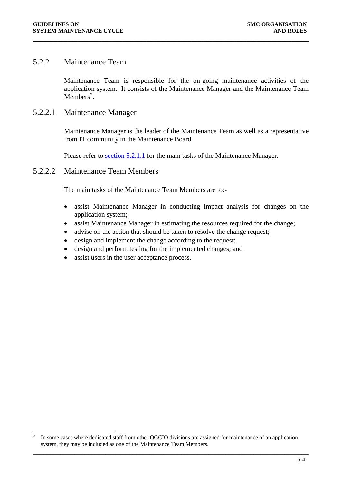## <span id="page-12-0"></span>5.2.2 Maintenance Team

Maintenance Team is responsible for the on-going maintenance activities of the application system. It consists of the Maintenance Manager and the Maintenance Team  $M$ embers<sup>[2](#page-12-1)</sup>.

#### 5.2.2.1 Maintenance Manager

Maintenance Manager is the leader of the Maintenance Team as well as a representative from IT community in the Maintenance Board.

Please refer to [section 5.2.1.1](#page-11-1) for the main tasks of the Maintenance Manager.

**\_\_\_\_\_\_\_\_\_\_\_\_\_\_\_\_\_\_\_\_\_\_\_\_\_\_\_\_\_\_\_\_\_\_\_\_\_\_\_\_\_\_\_\_\_\_\_\_\_\_\_\_\_\_\_\_\_\_\_\_\_\_\_\_\_\_\_\_\_\_\_\_\_\_\_\_\_\_\_\_**

#### 5.2.2.2 Maintenance Team Members

The main tasks of the Maintenance Team Members are to:-

- assist Maintenance Manager in conducting impact analysis for changes on the application system;
- assist Maintenance Manager in estimating the resources required for the change;
- advise on the action that should be taken to resolve the change request;
- design and implement the change according to the request;
- design and perform testing for the implemented changes; and
- assist users in the user acceptance process.

<span id="page-12-1"></span> <sup>2</sup> In some cases where dedicated staff from other OGCIO divisions are assigned for maintenance of an application system, they may be included as one of the Maintenance Team Members.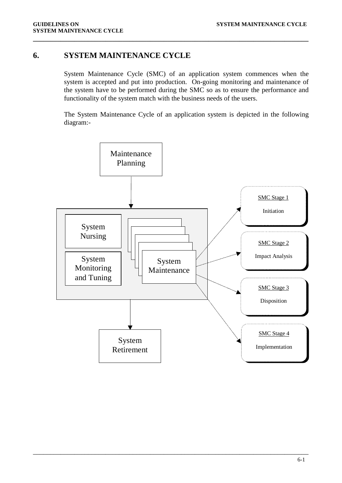## <span id="page-13-0"></span>**6. SYSTEM MAINTENANCE CYCLE**

System Maintenance Cycle (SMC) of an application system commences when the system is accepted and put into production. On-going monitoring and maintenance of the system have to be performed during the SMC so as to ensure the performance and functionality of the system match with the business needs of the users.

**\_\_\_\_\_\_\_\_\_\_\_\_\_\_\_\_\_\_\_\_\_\_\_\_\_\_\_\_\_\_\_\_\_\_\_\_\_\_\_\_\_\_\_\_\_\_\_\_\_\_\_\_\_\_\_\_\_\_\_\_\_\_\_\_\_\_\_\_\_\_\_\_\_\_\_\_\_\_\_\_**

The System Maintenance Cycle of an application system is depicted in the following diagram:-

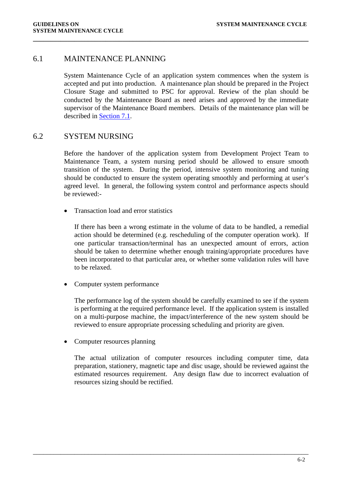### <span id="page-14-0"></span>6.1 MAINTENANCE PLANNING

System Maintenance Cycle of an application system commences when the system is accepted and put into production. A maintenance plan should be prepared in the Project Closure Stage and submitted to PSC for approval. Review of the plan should be conducted by the Maintenance Board as need arises and approved by the immediate supervisor of the Maintenance Board members. Details of the maintenance plan will be described in [Section 7.1.](#page-30-1)

**\_\_\_\_\_\_\_\_\_\_\_\_\_\_\_\_\_\_\_\_\_\_\_\_\_\_\_\_\_\_\_\_\_\_\_\_\_\_\_\_\_\_\_\_\_\_\_\_\_\_\_\_\_\_\_\_\_\_\_\_\_\_\_\_\_\_\_\_\_\_\_\_\_\_\_\_\_\_\_\_**

## <span id="page-14-1"></span>6.2 SYSTEM NURSING

Before the handover of the application system from Development Project Team to Maintenance Team, a system nursing period should be allowed to ensure smooth transition of the system. During the period, intensive system monitoring and tuning should be conducted to ensure the system operating smoothly and performing at user's agreed level. In general, the following system control and performance aspects should be reviewed:-

• Transaction load and error statistics

If there has been a wrong estimate in the volume of data to be handled, a remedial action should be determined (e.g. rescheduling of the computer operation work). If one particular transaction/terminal has an unexpected amount of errors, action should be taken to determine whether enough training/appropriate procedures have been incorporated to that particular area, or whether some validation rules will have to be relaxed.

• Computer system performance

The performance log of the system should be carefully examined to see if the system is performing at the required performance level. If the application system is installed on a multi-purpose machine, the impact/interference of the new system should be reviewed to ensure appropriate processing scheduling and priority are given.

• Computer resources planning

The actual utilization of computer resources including computer time, data preparation, stationery, magnetic tape and disc usage, should be reviewed against the estimated resources requirement. Any design flaw due to incorrect evaluation of resources sizing should be rectified.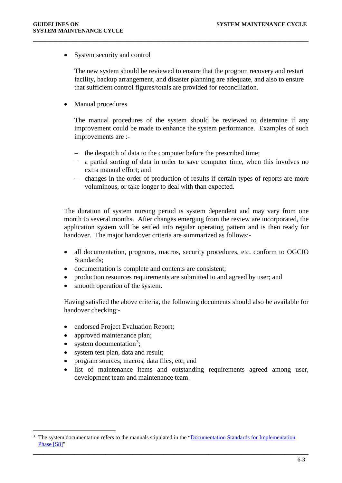System security and control

The new system should be reviewed to ensure that the program recovery and restart facility, backup arrangement, and disaster planning are adequate, and also to ensure that sufficient control figures/totals are provided for reconciliation.

• Manual procedures

The manual procedures of the system should be reviewed to determine if any improvement could be made to enhance the system performance. Examples of such improvements are :-

− the despatch of data to the computer before the prescribed time;

**\_\_\_\_\_\_\_\_\_\_\_\_\_\_\_\_\_\_\_\_\_\_\_\_\_\_\_\_\_\_\_\_\_\_\_\_\_\_\_\_\_\_\_\_\_\_\_\_\_\_\_\_\_\_\_\_\_\_\_\_\_\_\_\_\_\_\_\_\_\_\_\_\_\_\_\_\_\_\_\_**

- − a partial sorting of data in order to save computer time, when this involves no extra manual effort; and
- − changes in the order of production of results if certain types of reports are more voluminous, or take longer to deal with than expected.

The duration of system nursing period is system dependent and may vary from one month to several months. After changes emerging from the review are incorporated, the application system will be settled into regular operating pattern and is then ready for handover. The major handover criteria are summarized as follows:-

- all documentation, programs, macros, security procedures, etc. conform to OGCIO Standards;
- documentation is complete and contents are consistent;
- production resources requirements are submitted to and agreed by user; and
- smooth operation of the system.

Having satisfied the above criteria, the following documents should also be available for handover checking:-

- endorsed Project Evaluation Report;
- approved maintenance plan;
- system documentation<sup>[3](#page-15-0)</sup>;
- system test plan, data and result;
- program sources, macros, data files, etc; and
- list of maintenance items and outstanding requirements agreed among user, development team and maintenance team.

<span id="page-15-0"></span><sup>&</sup>lt;sup>3</sup> The system documentation refers to the manuals stipulated in the "Documentation Standards for Implementation [Phase \[S8\]"](http://itginfo.ccgo.hksarg/content/sm/docs/S8.doc)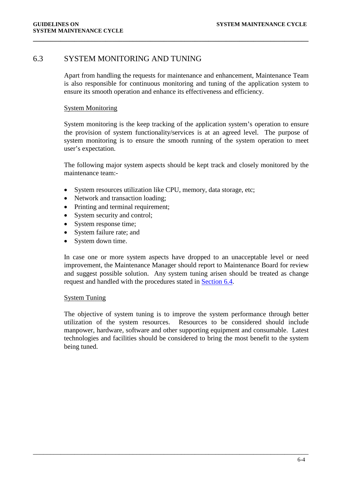## <span id="page-16-0"></span>6.3 SYSTEM MONITORING AND TUNING

Apart from handling the requests for maintenance and enhancement, Maintenance Team is also responsible for continuous monitoring and tuning of the application system to ensure its smooth operation and enhance its effectiveness and efficiency.

**\_\_\_\_\_\_\_\_\_\_\_\_\_\_\_\_\_\_\_\_\_\_\_\_\_\_\_\_\_\_\_\_\_\_\_\_\_\_\_\_\_\_\_\_\_\_\_\_\_\_\_\_\_\_\_\_\_\_\_\_\_\_\_\_\_\_\_\_\_\_\_\_\_\_\_\_\_\_\_\_**

#### System Monitoring

System monitoring is the keep tracking of the application system's operation to ensure the provision of system functionality/services is at an agreed level. The purpose of system monitoring is to ensure the smooth running of the system operation to meet user's expectation.

The following major system aspects should be kept track and closely monitored by the maintenance team:-

- System resources utilization like CPU, memory, data storage, etc;
- Network and transaction loading;
- Printing and terminal requirement;
- System security and control;
- System response time;
- System failure rate; and
- System down time.

In case one or more system aspects have dropped to an unacceptable level or need improvement, the Maintenance Manager should report to Maintenance Board for review and suggest possible solution. Any system tuning arisen should be treated as change request and handled with the procedures stated in [Section 6.4.](#page-18-0)

#### System Tuning

The objective of system tuning is to improve the system performance through better utilization of the system resources. Resources to be considered should include manpower, hardware, software and other supporting equipment and consumable. Latest technologies and facilities should be considered to bring the most benefit to the system being tuned.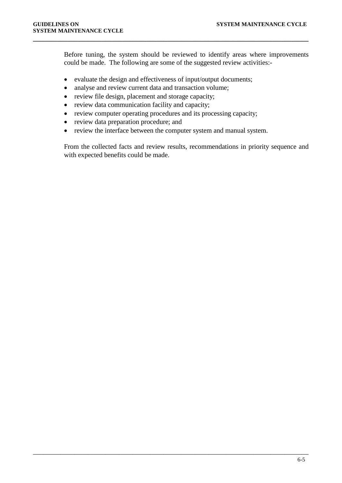Before tuning, the system should be reviewed to identify areas where improvements could be made. The following are some of the suggested review activities:-

• evaluate the design and effectiveness of input/output documents;

**\_\_\_\_\_\_\_\_\_\_\_\_\_\_\_\_\_\_\_\_\_\_\_\_\_\_\_\_\_\_\_\_\_\_\_\_\_\_\_\_\_\_\_\_\_\_\_\_\_\_\_\_\_\_\_\_\_\_\_\_\_\_\_\_\_\_\_\_\_\_\_\_\_\_\_\_\_\_\_\_**

- analyse and review current data and transaction volume;
- review file design, placement and storage capacity;
- review data communication facility and capacity;
- review computer operating procedures and its processing capacity;
- review data preparation procedure; and
- review the interface between the computer system and manual system.

\_\_\_\_\_\_\_\_\_\_\_\_\_\_\_\_\_\_\_\_\_\_\_\_\_\_\_\_\_\_\_\_\_\_\_\_\_\_\_\_\_\_\_\_\_\_\_\_\_\_\_\_\_\_\_\_\_\_\_\_\_\_\_\_\_\_\_\_\_\_\_\_\_\_\_\_\_\_\_\_

From the collected facts and review results, recommendations in priority sequence and with expected benefits could be made.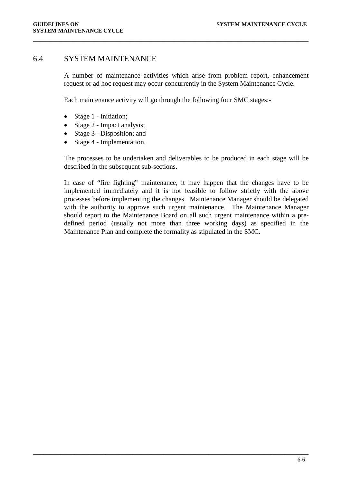## <span id="page-18-0"></span>6.4 SYSTEM MAINTENANCE

A number of maintenance activities which arise from problem report, enhancement request or ad hoc request may occur concurrently in the System Maintenance Cycle.

Each maintenance activity will go through the following four SMC stages:-

**\_\_\_\_\_\_\_\_\_\_\_\_\_\_\_\_\_\_\_\_\_\_\_\_\_\_\_\_\_\_\_\_\_\_\_\_\_\_\_\_\_\_\_\_\_\_\_\_\_\_\_\_\_\_\_\_\_\_\_\_\_\_\_\_\_\_\_\_\_\_\_\_\_\_\_\_\_\_\_\_**

- Stage 1 Initiation;
- Stage 2 Impact analysis;
- Stage 3 Disposition; and
- Stage 4 Implementation.

The processes to be undertaken and deliverables to be produced in each stage will be described in the subsequent sub-sections.

In case of "fire fighting" maintenance, it may happen that the changes have to be implemented immediately and it is not feasible to follow strictly with the above processes before implementing the changes. Maintenance Manager should be delegated with the authority to approve such urgent maintenance. The Maintenance Manager should report to the Maintenance Board on all such urgent maintenance within a predefined period (usually not more than three working days) as specified in the Maintenance Plan and complete the formality as stipulated in the SMC.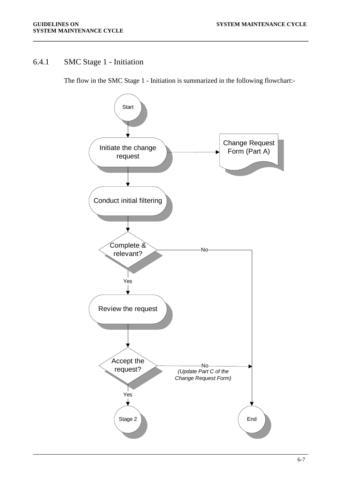## <span id="page-19-0"></span>6.4.1 SMC Stage 1 - Initiation

The flow in the SMC Stage 1 - Initiation is summarized in the following flowchart:-

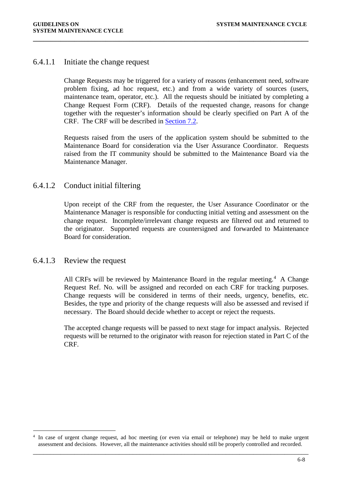## 6.4.1.1 Initiate the change request

Change Requests may be triggered for a variety of reasons (enhancement need, software problem fixing, ad hoc request, etc.) and from a wide variety of sources (users, maintenance team, operator, etc.). All the requests should be initiated by completing a Change Request Form (CRF). Details of the requested change, reasons for change together with the requester's information should be clearly specified on Part A of the CRF. The CRF will be described in [Section 7.2.](#page-31-0)

**\_\_\_\_\_\_\_\_\_\_\_\_\_\_\_\_\_\_\_\_\_\_\_\_\_\_\_\_\_\_\_\_\_\_\_\_\_\_\_\_\_\_\_\_\_\_\_\_\_\_\_\_\_\_\_\_\_\_\_\_\_\_\_\_\_\_\_\_\_\_\_\_\_\_\_\_\_\_\_\_**

Requests raised from the users of the application system should be submitted to the Maintenance Board for consideration via the User Assurance Coordinator. Requests raised from the IT community should be submitted to the Maintenance Board via the Maintenance Manager.

## 6.4.1.2 Conduct initial filtering

Upon receipt of the CRF from the requester, the User Assurance Coordinator or the Maintenance Manager is responsible for conducting initial vetting and assessment on the change request. Incomplete/irrelevant change requests are filtered out and returned to the originator. Supported requests are countersigned and forwarded to Maintenance Board for consideration.

## 6.4.1.3 Review the request

All CRFs will be reviewed by Maintenance Board in the regular meeting.<sup>[4](#page-20-0)</sup> A Change Request Ref. No. will be assigned and recorded on each CRF for tracking purposes. Change requests will be considered in terms of their needs, urgency, benefits, etc. Besides, the type and priority of the change requests will also be assessed and revised if necessary. The Board should decide whether to accept or reject the requests.

The accepted change requests will be passed to next stage for impact analysis. Rejected requests will be returned to the originator with reason for rejection stated in Part C of the CRF.

<span id="page-20-0"></span>\_\_\_\_\_\_\_\_\_\_\_\_\_\_\_\_\_\_\_\_\_\_\_\_\_\_\_\_\_\_\_\_\_\_\_\_\_\_\_\_\_\_\_\_\_\_\_\_\_\_\_\_\_\_\_\_\_\_\_\_\_\_\_\_\_\_\_\_\_\_\_\_\_\_\_\_\_\_\_\_ <sup>4</sup> In case of urgent change request, ad hoc meeting (or even via email or telephone) may be held to make urgent assessment and decisions. However, all the maintenance activities should still be properly controlled and recorded.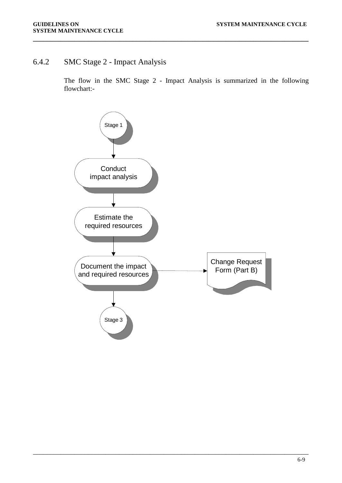## <span id="page-21-0"></span>6.4.2 SMC Stage 2 - Impact Analysis

The flow in the SMC Stage 2 - Impact Analysis is summarized in the following flowchart:-

**\_\_\_\_\_\_\_\_\_\_\_\_\_\_\_\_\_\_\_\_\_\_\_\_\_\_\_\_\_\_\_\_\_\_\_\_\_\_\_\_\_\_\_\_\_\_\_\_\_\_\_\_\_\_\_\_\_\_\_\_\_\_\_\_\_\_\_\_\_\_\_\_\_\_\_\_\_\_\_\_**

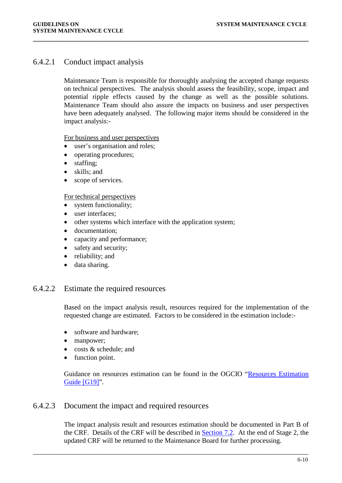## 6.4.2.1 Conduct impact analysis

Maintenance Team is responsible for thoroughly analysing the accepted change requests on technical perspectives. The analysis should assess the feasibility, scope, impact and potential ripple effects caused by the change as well as the possible solutions. Maintenance Team should also assure the impacts on business and user perspectives have been adequately analysed. The following major items should be considered in the impact analysis:-

**\_\_\_\_\_\_\_\_\_\_\_\_\_\_\_\_\_\_\_\_\_\_\_\_\_\_\_\_\_\_\_\_\_\_\_\_\_\_\_\_\_\_\_\_\_\_\_\_\_\_\_\_\_\_\_\_\_\_\_\_\_\_\_\_\_\_\_\_\_\_\_\_\_\_\_\_\_\_\_\_**

For business and user perspectives

- user's organisation and roles;
- operating procedures:
- staffing;
- skills; and
- scope of services.

#### For technical perspectives

- system functionality;
- user interfaces;
- other systems which interface with the application system;
- documentation:
- capacity and performance;
- safety and security;
- reliability; and
- data sharing.

### 6.4.2.2 Estimate the required resources

Based on the impact analysis result, resources required for the implementation of the requested change are estimated. Factors to be considered in the estimation include:-

- software and hardware;
- manpower;
- costs & schedule; and
- function point.

Guidance on resources estimation can be found in the OGCIO ["Resources Estimation](http://itginfo.ccgo.hksarg/content/sm/docs/G19.doc)  [Guide \[G19\]"](http://itginfo.ccgo.hksarg/content/sm/docs/G19.doc).

### 6.4.2.3 Document the impact and required resources

The impact analysis result and resources estimation should be documented in Part B of the CRF. Details of the CRF will be described in [Section 7.2.](#page-31-0) At the end of Stage 2, the updated CRF will be returned to the Maintenance Board for further processing.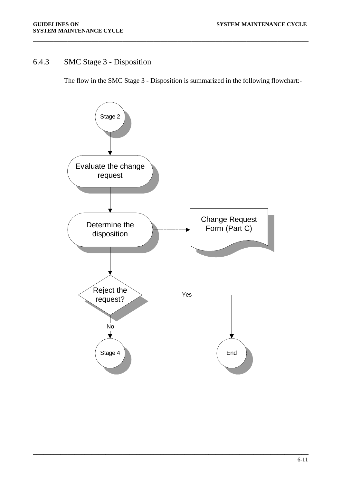## <span id="page-23-0"></span>6.4.3 SMC Stage 3 - Disposition

The flow in the SMC Stage 3 - Disposition is summarized in the following flowchart:-

**\_\_\_\_\_\_\_\_\_\_\_\_\_\_\_\_\_\_\_\_\_\_\_\_\_\_\_\_\_\_\_\_\_\_\_\_\_\_\_\_\_\_\_\_\_\_\_\_\_\_\_\_\_\_\_\_\_\_\_\_\_\_\_\_\_\_\_\_\_\_\_\_\_\_\_\_\_\_\_\_**

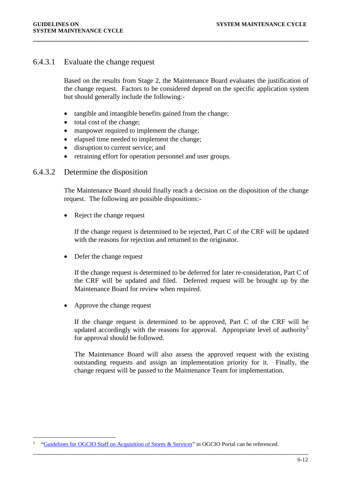## 6.4.3.1 Evaluate the change request

Based on the results from Stage 2, the Maintenance Board evaluates the justification of the change request. Factors to be considered depend on the specific application system but should generally include the following:-

**\_\_\_\_\_\_\_\_\_\_\_\_\_\_\_\_\_\_\_\_\_\_\_\_\_\_\_\_\_\_\_\_\_\_\_\_\_\_\_\_\_\_\_\_\_\_\_\_\_\_\_\_\_\_\_\_\_\_\_\_\_\_\_\_\_\_\_\_\_\_\_\_\_\_\_\_\_\_\_\_**

- tangible and intangible benefits gained from the change;
- total cost of the change;
- manpower required to implement the change;
- elapsed time needed to implement the change;
- disruption to current service; and
- retraining effort for operation personnel and user groups.

### 6.4.3.2 Determine the disposition

The Maintenance Board should finally reach a decision on the disposition of the change request. The following are possible dispositions:-

• Reject the change request

If the change request is determined to be rejected, Part C of the CRF will be updated with the reasons for rejection and returned to the originator.

• Defer the change request

If the change request is determined to be deferred for later re-consideration, Part C of the CRF will be updated and filed. Deferred request will be brought up by the Maintenance Board for review when required.

• Approve the change request

If the change request is determined to be approved, Part C of the CRF will be updated accordingly with the reasons for approval. Appropriate level of authority<sup>[5](#page-24-0)</sup> for approval should be followed.

The Maintenance Board will also assess the approved request with the existing outstanding requests and assign an implementation priority for it. Finally, the change request will be passed to the Maintenance Team for implementation.

<span id="page-24-0"></span> <sup>5</sup> ["Guidelines for OGCIO Staff on Acquisition of Stores & Services"](https://dp.ogcio.ccgo.hksarg/prodwas/wps/myportal/InternalInfo?isViewRec=true&recid=14678) in OGCIO Portal can be referenced.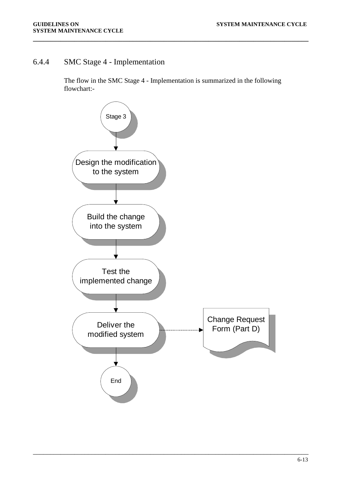## <span id="page-25-0"></span>6.4.4 SMC Stage 4 - Implementation

The flow in the SMC Stage 4 - Implementation is summarized in the following flowchart:-

**\_\_\_\_\_\_\_\_\_\_\_\_\_\_\_\_\_\_\_\_\_\_\_\_\_\_\_\_\_\_\_\_\_\_\_\_\_\_\_\_\_\_\_\_\_\_\_\_\_\_\_\_\_\_\_\_\_\_\_\_\_\_\_\_\_\_\_\_\_\_\_\_\_\_\_\_\_\_\_\_**

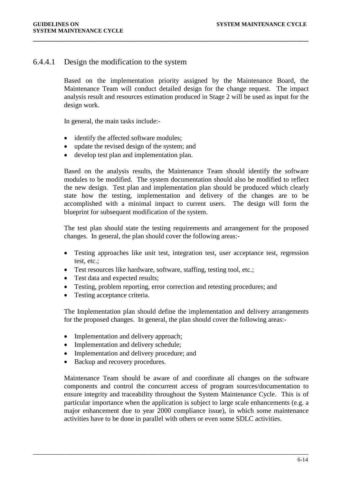## 6.4.4.1 Design the modification to the system

Based on the implementation priority assigned by the Maintenance Board, the Maintenance Team will conduct detailed design for the change request. The impact analysis result and resources estimation produced in Stage 2 will be used as input for the design work.

**\_\_\_\_\_\_\_\_\_\_\_\_\_\_\_\_\_\_\_\_\_\_\_\_\_\_\_\_\_\_\_\_\_\_\_\_\_\_\_\_\_\_\_\_\_\_\_\_\_\_\_\_\_\_\_\_\_\_\_\_\_\_\_\_\_\_\_\_\_\_\_\_\_\_\_\_\_\_\_\_**

In general, the main tasks include:-

- identify the affected software modules;
- update the revised design of the system; and
- develop test plan and implementation plan.

Based on the analysis results, the Maintenance Team should identify the software modules to be modified. The system documentation should also be modified to reflect the new design. Test plan and implementation plan should be produced which clearly state how the testing, implementation and delivery of the changes are to be accomplished with a minimal impact to current users. The design will form the blueprint for subsequent modification of the system.

The test plan should state the testing requirements and arrangement for the proposed changes. In general, the plan should cover the following areas:-

- Testing approaches like unit test, integration test, user acceptance test, regression test, etc.;
- Test resources like hardware, software, staffing, testing tool, etc.;
- Test data and expected results;
- Testing, problem reporting, error correction and retesting procedures; and
- Testing acceptance criteria.

The Implementation plan should define the implementation and delivery arrangements for the proposed changes. In general, the plan should cover the following areas:-

- Implementation and delivery approach;
- Implementation and delivery schedule;
- Implementation and delivery procedure; and
- Backup and recovery procedures.

Maintenance Team should be aware of and coordinate all changes on the software components and control the concurrent access of program sources/documentation to ensure integrity and traceability throughout the System Maintenance Cycle. This is of particular importance when the application is subject to large scale enhancements (e.g. a major enhancement due to year 2000 compliance issue), in which some maintenance activities have to be done in parallel with others or even some SDLC activities.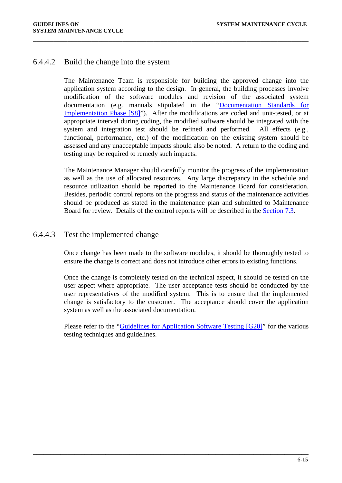## 6.4.4.2 Build the change into the system

The Maintenance Team is responsible for building the approved change into the application system according to the design. In general, the building processes involve modification of the software modules and revision of the associated system documentation (e.g. manuals stipulated in the ["Documentation Standards for](http://itginfo.ccgo.hksarg/content/sm/docs/S8.doc)  [Implementation Phase \[S8\]"](http://itginfo.ccgo.hksarg/content/sm/docs/S8.doc)). After the modifications are coded and unit-tested, or at appropriate interval during coding, the modified software should be integrated with the system and integration test should be refined and performed. All effects (e.g., functional, performance, etc.) of the modification on the existing system should be assessed and any unacceptable impacts should also be noted. A return to the coding and testing may be required to remedy such impacts.

**\_\_\_\_\_\_\_\_\_\_\_\_\_\_\_\_\_\_\_\_\_\_\_\_\_\_\_\_\_\_\_\_\_\_\_\_\_\_\_\_\_\_\_\_\_\_\_\_\_\_\_\_\_\_\_\_\_\_\_\_\_\_\_\_\_\_\_\_\_\_\_\_\_\_\_\_\_\_\_\_**

The Maintenance Manager should carefully monitor the progress of the implementation as well as the use of allocated resources. Any large discrepancy in the schedule and resource utilization should be reported to the Maintenance Board for consideration. Besides, periodic control reports on the progress and status of the maintenance activities should be produced as stated in the maintenance plan and submitted to Maintenance Board for review. Details of the control reports will be described in the [Section 7.3.](#page-34-0)

## 6.4.4.3 Test the implemented change

Once change has been made to the software modules, it should be thoroughly tested to ensure the change is correct and does not introduce other errors to existing functions.

Once the change is completely tested on the technical aspect, it should be tested on the user aspect where appropriate. The user acceptance tests should be conducted by the user representatives of the modified system. This is to ensure that the implemented change is satisfactory to the customer. The acceptance should cover the application system as well as the associated documentation.

Please refer to the ["Guidelines for Application Software Testing \[G20\]"](http://itginfo.ccgo.hksarg/content/sm/docs/G20.doc) for the various testing techniques and guidelines.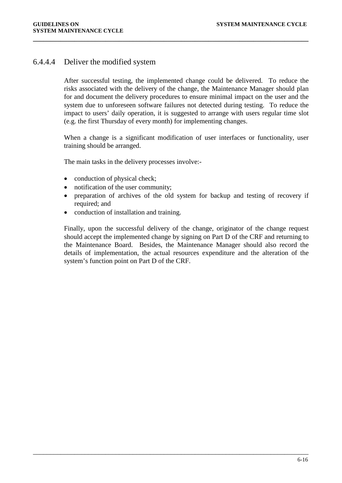## 6.4.4.4 Deliver the modified system

After successful testing, the implemented change could be delivered. To reduce the risks associated with the delivery of the change, the Maintenance Manager should plan for and document the delivery procedures to ensure minimal impact on the user and the system due to unforeseen software failures not detected during testing. To reduce the impact to users' daily operation, it is suggested to arrange with users regular time slot (e.g. the first Thursday of every month) for implementing changes.

**\_\_\_\_\_\_\_\_\_\_\_\_\_\_\_\_\_\_\_\_\_\_\_\_\_\_\_\_\_\_\_\_\_\_\_\_\_\_\_\_\_\_\_\_\_\_\_\_\_\_\_\_\_\_\_\_\_\_\_\_\_\_\_\_\_\_\_\_\_\_\_\_\_\_\_\_\_\_\_\_**

When a change is a significant modification of user interfaces or functionality, user training should be arranged.

The main tasks in the delivery processes involve:-

- conduction of physical check;
- notification of the user community;
- preparation of archives of the old system for backup and testing of recovery if required; and
- conduction of installation and training.

Finally, upon the successful delivery of the change, originator of the change request should accept the implemented change by signing on Part D of the CRF and returning to the Maintenance Board. Besides, the Maintenance Manager should also record the details of implementation, the actual resources expenditure and the alteration of the system's function point on Part D of the CRF.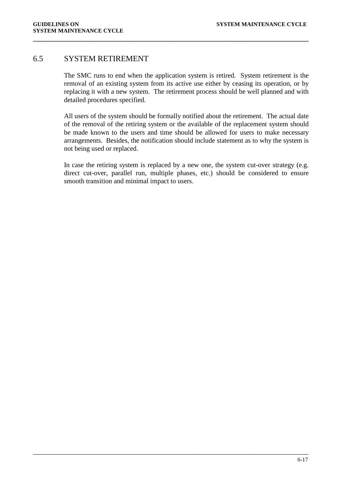## <span id="page-29-0"></span>6.5 SYSTEM RETIREMENT

The SMC runs to end when the application system is retired. System retirement is the removal of an existing system from its active use either by ceasing its operation, or by replacing it with a new system. The retirement process should be well planned and with detailed procedures specified.

**\_\_\_\_\_\_\_\_\_\_\_\_\_\_\_\_\_\_\_\_\_\_\_\_\_\_\_\_\_\_\_\_\_\_\_\_\_\_\_\_\_\_\_\_\_\_\_\_\_\_\_\_\_\_\_\_\_\_\_\_\_\_\_\_\_\_\_\_\_\_\_\_\_\_\_\_\_\_\_\_**

All users of the system should be formally notified about the retirement. The actual date of the removal of the retiring system or the available of the replacement system should be made known to the users and time should be allowed for users to make necessary arrangements. Besides, the notification should include statement as to why the system is not being used or replaced.

In case the retiring system is replaced by a new one, the system cut-over strategy (e.g. direct cut-over, parallel run, multiple phases, etc.) should be considered to ensure smooth transition and minimal impact to users.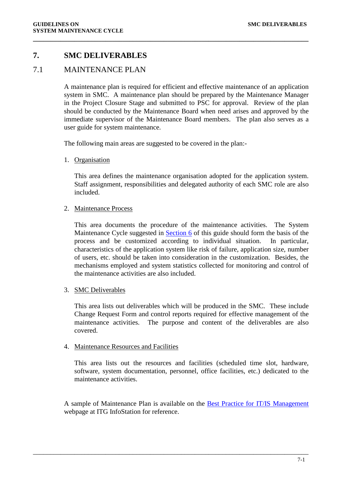## <span id="page-30-0"></span>**7. SMC DELIVERABLES**

## <span id="page-30-1"></span>7.1 MAINTENANCE PLAN

A maintenance plan is required for efficient and effective maintenance of an application system in SMC. A maintenance plan should be prepared by the Maintenance Manager in the Project Closure Stage and submitted to PSC for approval. Review of the plan should be conducted by the Maintenance Board when need arises and approved by the immediate supervisor of the Maintenance Board members. The plan also serves as a user guide for system maintenance.

**\_\_\_\_\_\_\_\_\_\_\_\_\_\_\_\_\_\_\_\_\_\_\_\_\_\_\_\_\_\_\_\_\_\_\_\_\_\_\_\_\_\_\_\_\_\_\_\_\_\_\_\_\_\_\_\_\_\_\_\_\_\_\_\_\_\_\_\_\_\_\_\_\_\_\_\_\_\_\_\_**

The following main areas are suggested to be covered in the plan:-

1. Organisation

This area defines the maintenance organisation adopted for the application system. Staff assignment, responsibilities and delegated authority of each SMC role are also included.

2. Maintenance Process

This area documents the procedure of the maintenance activities. The System Maintenance Cycle suggested in [Section 6](#page-13-0) of this guide should form the basis of the process and be customized according to individual situation. In particular, characteristics of the application system like risk of failure, application size, number of users, etc. should be taken into consideration in the customization. Besides, the mechanisms employed and system statistics collected for monitoring and control of the maintenance activities are also included.

#### 3. SMC Deliverables

This area lists out deliverables which will be produced in the SMC. These include Change Request Form and control reports required for effective management of the maintenance activities. The purpose and content of the deliverables are also covered.

#### 4. Maintenance Resources and Facilities

This area lists out the resources and facilities (scheduled time slot, hardware, software, system documentation, personnel, office facilities, etc.) dedicated to the maintenance activities.

A sample of Maintenance Plan is available on the [Best Practice for IT/IS Management](http://itginfo.ccgo.hksarg/content/best_practice/sdm_ord.htm) webpage at ITG InfoStation for reference.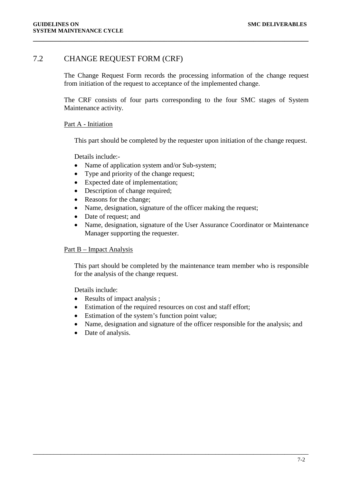## <span id="page-31-0"></span>7.2 CHANGE REQUEST FORM (CRF)

The Change Request Form records the processing information of the change request from initiation of the request to acceptance of the implemented change.

**\_\_\_\_\_\_\_\_\_\_\_\_\_\_\_\_\_\_\_\_\_\_\_\_\_\_\_\_\_\_\_\_\_\_\_\_\_\_\_\_\_\_\_\_\_\_\_\_\_\_\_\_\_\_\_\_\_\_\_\_\_\_\_\_\_\_\_\_\_\_\_\_\_\_\_\_\_\_\_\_**

The CRF consists of four parts corresponding to the four SMC stages of System Maintenance activity.

#### Part A - Initiation

This part should be completed by the requester upon initiation of the change request.

Details include:-

- Name of application system and/or Sub-system;
- Type and priority of the change request;
- Expected date of implementation;
- Description of change required;
- Reasons for the change;
- Name, designation, signature of the officer making the request;
- Date of request; and
- Name, designation, signature of the User Assurance Coordinator or Maintenance Manager supporting the requester.

#### Part B – Impact Analysis

This part should be completed by the maintenance team member who is responsible for the analysis of the change request.

Details include:

- Results of impact analysis ;
- Estimation of the required resources on cost and staff effort;

- Estimation of the system's function point value;
- Name, designation and signature of the officer responsible for the analysis; and
- Date of analysis.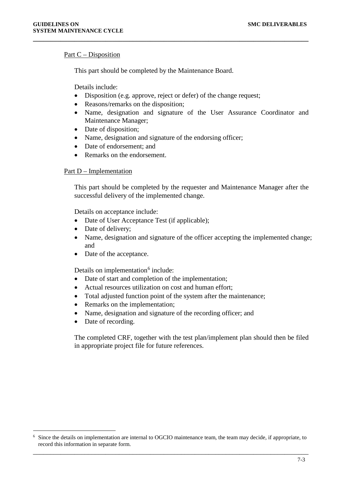#### Part C – Disposition

This part should be completed by the Maintenance Board.

Details include:

• Disposition (e.g. approve, reject or defer) of the change request;

**\_\_\_\_\_\_\_\_\_\_\_\_\_\_\_\_\_\_\_\_\_\_\_\_\_\_\_\_\_\_\_\_\_\_\_\_\_\_\_\_\_\_\_\_\_\_\_\_\_\_\_\_\_\_\_\_\_\_\_\_\_\_\_\_\_\_\_\_\_\_\_\_\_\_\_\_\_\_\_\_**

- Reasons/remarks on the disposition;
- Name, designation and signature of the User Assurance Coordinator and Maintenance Manager;
- Date of disposition;
- Name, designation and signature of the endorsing officer;
- Date of endorsement: and
- Remarks on the endorsement.

#### Part D – Implementation

This part should be completed by the requester and Maintenance Manager after the successful delivery of the implemented change.

Details on acceptance include:

- Date of User Acceptance Test (if applicable);
- Date of delivery;
- Name, designation and signature of the officer accepting the implemented change; and
- Date of the acceptance.

Details on implementation $6$  include:

- Date of start and completion of the implementation;
- Actual resources utilization on cost and human effort;
- Total adjusted function point of the system after the maintenance;
- Remarks on the implementation;
- Name, designation and signature of the recording officer; and
- Date of recording.

The completed CRF, together with the test plan/implement plan should then be filed in appropriate project file for future references.

<span id="page-32-0"></span>\_\_\_\_\_\_\_\_\_\_\_\_\_\_\_\_\_\_\_\_\_\_\_\_\_\_\_\_\_\_\_\_\_\_\_\_\_\_\_\_\_\_\_\_\_\_\_\_\_\_\_\_\_\_\_\_\_\_\_\_\_\_\_\_\_\_\_\_\_\_\_\_\_\_\_\_\_\_\_\_ 6 Since the details on implementation are internal to OGCIO maintenance team, the team may decide, if appropriate, to record this information in separate form.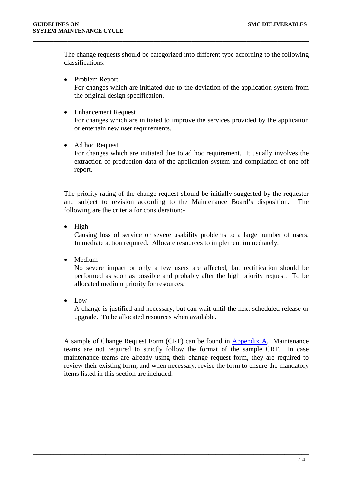The change requests should be categorized into different type according to the following classifications:-

**\_\_\_\_\_\_\_\_\_\_\_\_\_\_\_\_\_\_\_\_\_\_\_\_\_\_\_\_\_\_\_\_\_\_\_\_\_\_\_\_\_\_\_\_\_\_\_\_\_\_\_\_\_\_\_\_\_\_\_\_\_\_\_\_\_\_\_\_\_\_\_\_\_\_\_\_\_\_\_\_**

- Problem Report For changes which are initiated due to the deviation of the application system from the original design specification.
- Enhancement Request

For changes which are initiated to improve the services provided by the application or entertain new user requirements.

• Ad hoc Request

For changes which are initiated due to ad hoc requirement. It usually involves the extraction of production data of the application system and compilation of one-off report.

The priority rating of the change request should be initially suggested by the requester and subject to revision according to the Maintenance Board's disposition. The following are the criteria for consideration:-

• High

Causing loss of service or severe usability problems to a large number of users. Immediate action required. Allocate resources to implement immediately.

• Medium

No severe impact or only a few users are affected, but rectification should be performed as soon as possible and probably after the high priority request. To be allocated medium priority for resources.

• Low

A change is justified and necessary, but can wait until the next scheduled release or upgrade. To be allocated resources when available.

A sample of Change Request Form (CRF) can be found in [Appendix A.](#page-36-0) Maintenance teams are not required to strictly follow the format of the sample CRF. In case maintenance teams are already using their change request form, they are required to review their existing form, and when necessary, revise the form to ensure the mandatory items listed in this section are included.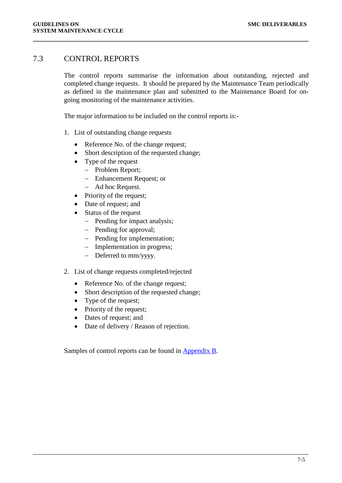## <span id="page-34-0"></span>7.3 CONTROL REPORTS

The control reports summarise the information about outstanding, rejected and completed change requests. It should be prepared by the Maintenance Team periodically as defined in the maintenance plan and submitted to the Maintenance Board for ongoing monitoring of the maintenance activities.

**\_\_\_\_\_\_\_\_\_\_\_\_\_\_\_\_\_\_\_\_\_\_\_\_\_\_\_\_\_\_\_\_\_\_\_\_\_\_\_\_\_\_\_\_\_\_\_\_\_\_\_\_\_\_\_\_\_\_\_\_\_\_\_\_\_\_\_\_\_\_\_\_\_\_\_\_\_\_\_\_**

The major information to be included on the control reports is:-

- 1. List of outstanding change requests
	- Reference No. of the change request;
	- Short description of the requested change;
	- Type of the request
		- − Problem Report;
		- − Enhancement Request; or
		- − Ad hoc Request.
	- Priority of the request;
	- Date of request; and
	- Status of the request
		- − Pending for impact analysis;
		- − Pending for approval;
		- − Pending for implementation;
		- − Implementation in progress;
		- − Deferred to mm/yyyy.
- 2. List of change requests completed/rejected
	- Reference No. of the change request;
	- Short description of the requested change;
	- Type of the request;
	- Priority of the request;
	- Dates of request; and
	- Date of delivery / Reason of rejection.

Samples of control reports can be found in [Appendix B.](#page-40-0)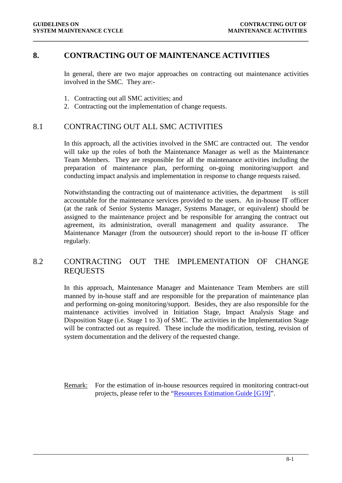## <span id="page-35-0"></span>**8. CONTRACTING OUT OF MAINTENANCE ACTIVITIES**

**\_\_\_\_\_\_\_\_\_\_\_\_\_\_\_\_\_\_\_\_\_\_\_\_\_\_\_\_\_\_\_\_\_\_\_\_\_\_\_\_\_\_\_\_\_\_\_\_\_\_\_\_\_\_\_\_\_\_\_\_\_\_\_\_\_\_\_\_\_\_\_\_\_\_\_\_\_\_\_\_**

In general, there are two major approaches on contracting out maintenance activities involved in the SMC. They are:-

- 1. Contracting out all SMC activities; and
- 2. Contracting out the implementation of change requests.

## <span id="page-35-1"></span>8.1 CONTRACTING OUT ALL SMC ACTIVITIES

In this approach, all the activities involved in the SMC are contracted out. The vendor will take up the roles of both the Maintenance Manager as well as the Maintenance Team Members. They are responsible for all the maintenance activities including the preparation of maintenance plan, performing on-going monitoring/support and conducting impact analysis and implementation in response to change requests raised.

Notwithstanding the contracting out of maintenance activities, the department is still accountable for the maintenance services provided to the users. An in-house IT officer (at the rank of Senior Systems Manager, Systems Manager, or equivalent) should be assigned to the maintenance project and be responsible for arranging the contract out agreement, its administration, overall management and quality assurance. The Maintenance Manager (from the outsourcer) should report to the in-house IT officer regularly.

## <span id="page-35-2"></span>8.2 CONTRACTING OUT THE IMPLEMENTATION OF CHANGE REQUESTS

In this approach, Maintenance Manager and Maintenance Team Members are still manned by in-house staff and are responsible for the preparation of maintenance plan and performing on-going monitoring/support. Besides, they are also responsible for the maintenance activities involved in Initiation Stage, Impact Analysis Stage and Disposition Stage (i.e. Stage 1 to 3) of SMC. The activities in the Implementation Stage will be contracted out as required. These include the modification, testing, revision of system documentation and the delivery of the requested change.

Remark: For the estimation of in-house resources required in monitoring contract-out projects, please refer to the ["Resources Estimation Guide \[G19\]"](http://itginfo.ccgo.hksarg/content/sm/docs/G19.doc).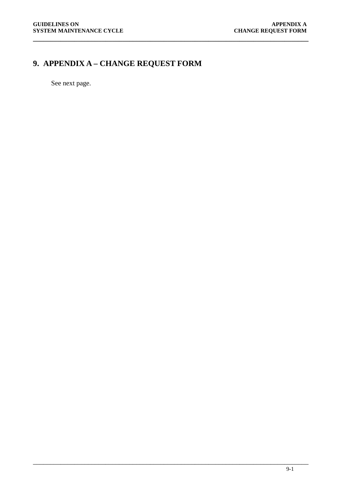# <span id="page-36-0"></span>**9. APPENDIX A – CHANGE REQUEST FORM**

**\_\_\_\_\_\_\_\_\_\_\_\_\_\_\_\_\_\_\_\_\_\_\_\_\_\_\_\_\_\_\_\_\_\_\_\_\_\_\_\_\_\_\_\_\_\_\_\_\_\_\_\_\_\_\_\_\_\_\_\_\_\_\_\_\_\_\_\_\_\_\_\_\_\_\_\_\_\_\_\_**

See next page.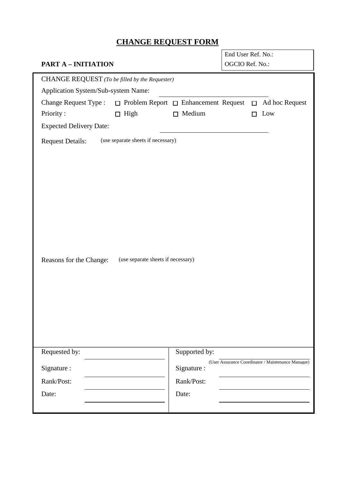## **CHANGE REQUEST FORM**

| <b>CHANGE REQUEST FORM</b>                                                      |               |                                       |                                                    |
|---------------------------------------------------------------------------------|---------------|---------------------------------------|----------------------------------------------------|
|                                                                                 |               | End User Ref. No.:<br>OGCIO Ref. No.: |                                                    |
| <b>PART A - INITIATION</b>                                                      |               |                                       |                                                    |
| CHANGE REQUEST (To be filled by the Requester)                                  |               |                                       |                                                    |
| Application System/Sub-system Name:                                             |               |                                       |                                                    |
| <b>Change Request Type:</b><br>$\Box$ Problem Report $\Box$ Enhancement Request |               |                                       | Ad hoc Request<br>$\Box$                           |
| Priority:<br>$\Box$ High                                                        | $\Box$ Medium |                                       | Low<br>П                                           |
| <b>Expected Delivery Date:</b>                                                  |               |                                       |                                                    |
| (use separate sheets if necessary)<br><b>Request Details:</b>                   |               |                                       |                                                    |
|                                                                                 |               |                                       |                                                    |
|                                                                                 |               |                                       |                                                    |
|                                                                                 |               |                                       |                                                    |
|                                                                                 |               |                                       |                                                    |
|                                                                                 |               |                                       |                                                    |
|                                                                                 |               |                                       |                                                    |
|                                                                                 |               |                                       |                                                    |
|                                                                                 |               |                                       |                                                    |
|                                                                                 |               |                                       |                                                    |
| (use separate sheets if necessary)<br>Reasons for the Change:                   |               |                                       |                                                    |
|                                                                                 |               |                                       |                                                    |
|                                                                                 |               |                                       |                                                    |
|                                                                                 |               |                                       |                                                    |
|                                                                                 |               |                                       |                                                    |
|                                                                                 |               |                                       |                                                    |
|                                                                                 |               |                                       |                                                    |
|                                                                                 |               |                                       |                                                    |
| Requested by:                                                                   | Supported by: |                                       |                                                    |
|                                                                                 |               |                                       | (User Assurance Coordinator / Maintenance Manager) |
| Signature:                                                                      | Signature:    |                                       |                                                    |
| Rank/Post:                                                                      | Rank/Post:    |                                       |                                                    |
| Date:                                                                           | Date:         |                                       |                                                    |
|                                                                                 |               |                                       |                                                    |
|                                                                                 |               |                                       |                                                    |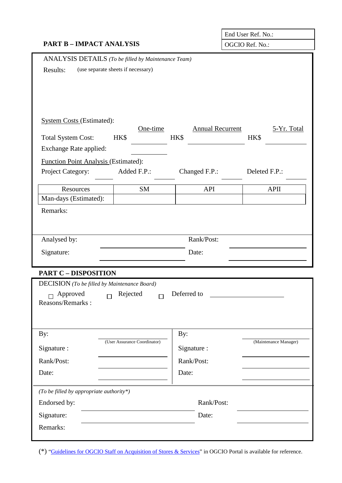|                                                     | End User Ref. No.:                 |                         |                       |  |
|-----------------------------------------------------|------------------------------------|-------------------------|-----------------------|--|
| <b>PART B - IMPACT ANALYSIS</b>                     |                                    |                         | OGCIO Ref. No.:       |  |
| ANALYSIS DETAILS (To be filled by Maintenance Team) |                                    |                         |                       |  |
| Results:                                            | (use separate sheets if necessary) |                         |                       |  |
|                                                     |                                    |                         |                       |  |
|                                                     |                                    |                         |                       |  |
|                                                     |                                    |                         |                       |  |
| <b>System Costs (Estimated):</b>                    |                                    |                         |                       |  |
|                                                     | One-time                           | <b>Annual Recurrent</b> | 5-Yr. Total           |  |
| <b>Total System Cost:</b>                           | HK\$                               | HK\$                    | HK\$                  |  |
| Exchange Rate applied:                              |                                    |                         |                       |  |
| Function Point Analysis (Estimated):                |                                    |                         |                       |  |
| Project Category:                                   | Added F.P.:                        | Changed F.P.:           | Deleted F.P.:         |  |
| Resources                                           | <b>SM</b>                          | API                     | <b>APII</b>           |  |
| Man-days (Estimated):                               |                                    |                         |                       |  |
| Remarks:                                            |                                    |                         |                       |  |
|                                                     |                                    |                         |                       |  |
| Analysed by:                                        |                                    | Rank/Post:              |                       |  |
|                                                     |                                    |                         |                       |  |
| Signature:                                          |                                    | Date:                   |                       |  |
| <b>PART C - DISPOSITION</b>                         |                                    |                         |                       |  |
| <b>DECISION</b> (To be filled by Maintenance Board) |                                    |                         |                       |  |
| Approved<br>$\Box$                                  | Rejected<br>$\Box$                 | Deferred to             |                       |  |
| Reasons/Remarks:                                    |                                    |                         |                       |  |
|                                                     |                                    |                         |                       |  |
|                                                     |                                    |                         |                       |  |
| By:                                                 | (User Assurance Coordinator)       | By:                     | (Maintenance Manager) |  |
| Signature :                                         |                                    | Signature :             |                       |  |
| Rank/Post:                                          |                                    | Rank/Post:              |                       |  |
| Date:                                               |                                    | Date:                   |                       |  |
|                                                     |                                    |                         |                       |  |
| (To be filled by appropriate authority*)            |                                    |                         |                       |  |
| Rank/Post:<br>Endorsed by:                          |                                    |                         |                       |  |
| Signature:                                          |                                    | Date:                   |                       |  |
| Remarks:                                            |                                    |                         |                       |  |
|                                                     |                                    |                         |                       |  |

(\*) ["Guidelines for OGCIO Staff on Acquisition of Stores & Services"](https://dp.ogcio.ccgo.hksarg/prodwas/wps/myportal/InternalInfo?isViewRec=true&recid=14678) in OGCIO Portal is available for reference.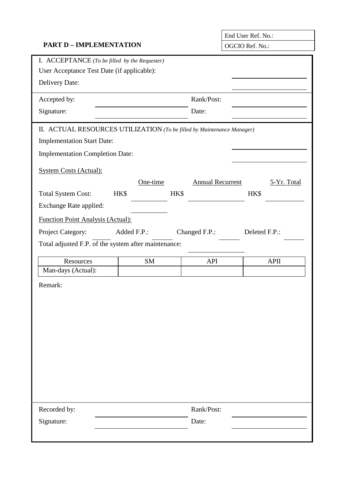## **PART D – IMPLEMENTATION** OGCIO Ref. No.:

|                                                   | End User Ref. No.: |
|---------------------------------------------------|--------------------|
| $\triangle$ CCIO R <sub>af</sub> N <sub>o</sub> . |                    |

| I. ACCEPTANCE (To be filled by the Requester)                          |             |      |                         |               |
|------------------------------------------------------------------------|-------------|------|-------------------------|---------------|
| User Acceptance Test Date (if applicable):                             |             |      |                         |               |
| Delivery Date:                                                         |             |      |                         |               |
| Accepted by:                                                           |             |      | Rank/Post:              |               |
| Signature:                                                             |             |      | Date:                   |               |
| II. ACTUAL RESOURCES UTILIZATION (To be filled by Maintenance Manager) |             |      |                         |               |
| <b>Implementation Start Date:</b>                                      |             |      |                         |               |
| <b>Implementation Completion Date:</b>                                 |             |      |                         |               |
| <b>System Costs (Actual):</b>                                          |             |      |                         |               |
|                                                                        | One-time    |      | <b>Annual Recurrent</b> | 5-Yr. Total   |
| <b>Total System Cost:</b>                                              | HK\$        | HK\$ |                         | HK\$          |
| Exchange Rate applied:                                                 |             |      |                         |               |
| <b>Function Point Analysis (Actual):</b>                               |             |      |                         |               |
| Project Category:                                                      | Added F.P.: |      | Changed F.P.:           | Deleted F.P.: |
| Total adjusted F.P. of the system after maintenance:                   |             |      |                         |               |
| Resources                                                              | <b>SM</b>   |      | <b>API</b>              | <b>APII</b>   |
| Man-days (Actual):                                                     |             |      |                         |               |
| Remark:                                                                |             |      |                         |               |
|                                                                        |             |      |                         |               |
|                                                                        |             |      |                         |               |
|                                                                        |             |      |                         |               |
|                                                                        |             |      |                         |               |
|                                                                        |             |      |                         |               |
|                                                                        |             |      |                         |               |
|                                                                        |             |      |                         |               |
|                                                                        |             |      |                         |               |
|                                                                        |             |      |                         |               |
| Recorded by:                                                           |             |      | Rank/Post:              |               |
| Signature:                                                             |             |      | Date:                   |               |
|                                                                        |             |      |                         |               |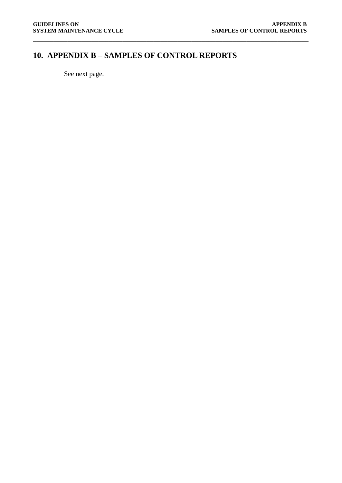## <span id="page-40-0"></span>**10. APPENDIX B – SAMPLES OF CONTROL REPORTS**

**\_\_\_\_\_\_\_\_\_\_\_\_\_\_\_\_\_\_\_\_\_\_\_\_\_\_\_\_\_\_\_\_\_\_\_\_\_\_\_\_\_\_\_\_\_\_\_\_\_\_\_\_\_\_\_\_\_\_\_\_\_\_\_\_\_\_\_\_\_\_\_\_\_\_\_\_\_\_\_\_**

See next page.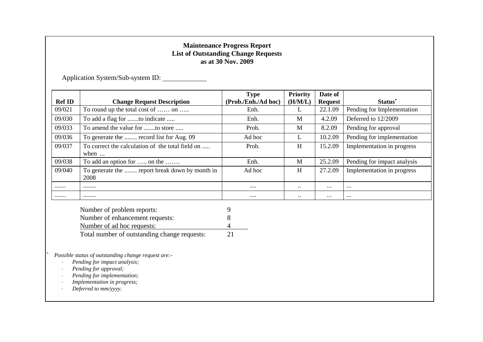## **Maintenance Progress Report List of Outstanding Change Requests as at 30 Nov. 2009**

Application System/Sub-system ID:

|               |                                                                                                                                                                                                    | <b>Type</b>         | <b>Priority</b> | Date of        |                             |
|---------------|----------------------------------------------------------------------------------------------------------------------------------------------------------------------------------------------------|---------------------|-----------------|----------------|-----------------------------|
| <b>Ref ID</b> | <b>Change Request Description</b>                                                                                                                                                                  | (Prob./Enh./Ad hoc) | (H/M/L)         | <b>Request</b> | Status*                     |
| 09/021        | To round up the total cost of  on                                                                                                                                                                  | Enh.                | L               | 22.1.09        | Pending for Implementation  |
| 09/030        | To add a flag for to indicate                                                                                                                                                                      | Enh.                | M               | 4.2.09         | Deferred to 12/2009         |
| 09/033        | To amend the value for to store                                                                                                                                                                    | Prob.               | M               | 8.2.09         | Pending for approval        |
| 09/036        | To generate the  record list for Aug. 09                                                                                                                                                           | Ad hoc              | L               | 10.2.09        | Pending for implementation  |
| 09/037        | To correct the calculation of the total field on<br>when                                                                                                                                           | Prob.               | H               | 15.2.09        | Implementation in progress  |
| 09/038        | To add an option for  on the                                                                                                                                                                       | Enh.                | M               | 25.2.09        | Pending for impact analysis |
| 09/040        | To generate the  report break down by month in<br>2008                                                                                                                                             | Ad hoc              | H               | 27.2.09        | Implementation in progress  |
|               |                                                                                                                                                                                                    | $\cdots$            | $\ddotsc$       | $\cdots$       | $\cdots$                    |
|               |                                                                                                                                                                                                    | $\cdots$            | $\ldots$        | $\ldots$       | $\cdots$                    |
|               | Number of problem reports:                                                                                                                                                                         | 9                   |                 |                |                             |
|               | Number of enhancement requests:                                                                                                                                                                    | 8                   |                 |                |                             |
|               |                                                                                                                                                                                                    |                     |                 |                |                             |
|               | Number of ad hoc requests:                                                                                                                                                                         | 4                   |                 |                |                             |
|               | Total number of outstanding change requests:                                                                                                                                                       | 21                  |                 |                |                             |
|               | Possible status of outstanding change request are:-<br>Pending for impact analysis;<br>Pending for approval;<br>Pending for implementation;<br>Implementation in progress;<br>Deferred to mm/yyyy. |                     |                 |                |                             |